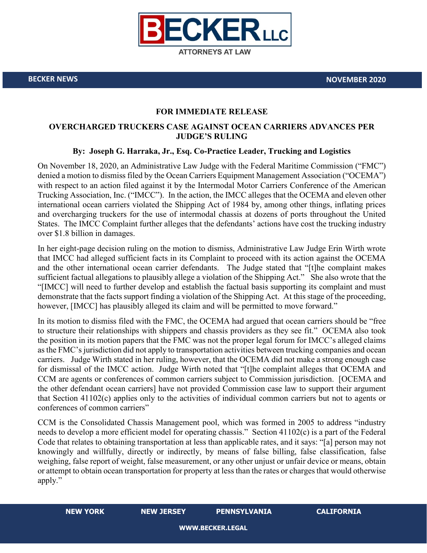

**BECKER NEWS NOVEMBER 2020**

## **FOR IMMEDIATE RELEASE**

## **OVERCHARGED TRUCKERS CASE AGAINST OCEAN CARRIERS ADVANCES PER JUDGE'S RULING**

## **By: Joseph G. Harraka, Jr., Esq. Co-Practice Leader, Trucking and Logistics**

On November 18, 2020, an Administrative Law Judge with the Federal Maritime Commission ("FMC") denied a motion to dismiss filed by the Ocean Carriers Equipment Management Association ("OCEMA") with respect to an action filed against it by the Intermodal Motor Carriers Conference of the American Trucking Association, Inc. ("IMCC"). In the action, the IMCC alleges that the OCEMA and eleven other international ocean carriers violated the Shipping Act of 1984 by, among other things, inflating prices and overcharging truckers for the use of intermodal chassis at dozens of ports throughout the United States. The IMCC Complaint further alleges that the defendants' actions have cost the trucking industry over \$1.8 billion in damages.

In her eight-page decision ruling on the motion to dismiss, Administrative Law Judge Erin Wirth wrote that IMCC had alleged sufficient facts in its Complaint to proceed with its action against the OCEMA and the other international ocean carrier defendants. The Judge stated that "[t]he complaint makes sufficient factual allegations to plausibly allege a violation of the Shipping Act." She also wrote that the "[IMCC] will need to further develop and establish the factual basis supporting its complaint and must demonstrate that the facts support finding a violation of the Shipping Act. At this stage of the proceeding, however, [IMCC] has plausibly alleged its claim and will be permitted to move forward."

In its motion to dismiss filed with the FMC, the OCEMA had argued that ocean carriers should be "free to structure their relationships with shippers and chassis providers as they see fit." OCEMA also took the position in its motion papers that the FMC was not the proper legal forum for IMCC's alleged claims as the FMC's jurisdiction did not apply to transportation activities between trucking companies and ocean carriers. Judge Wirth stated in her ruling, however, that the OCEMA did not make a strong enough case for dismissal of the IMCC action. Judge Wirth noted that "[t]he complaint alleges that OCEMA and CCM are agents or conferences of common carriers subject to Commission jurisdiction. [OCEMA and the other defendant ocean carriers] have not provided Commission case law to support their argument that Section 41102(c) applies only to the activities of individual common carriers but not to agents or conferences of common carriers"

CCM is the Consolidated Chassis Management pool, which was formed in 2005 to address "industry needs to develop a more efficient model for operating chassis." Section 41102(c) is a part of the Federal Code that relates to obtaining transportation at less than applicable rates, and it says: "[a] person may not knowingly and willfully, directly or indirectly, by means of false billing, false classification, false weighing, false report of weight, false measurement, or any other unjust or unfair device or means, obtain or attempt to obtain ocean transportation for property at less than the rates or charges that would otherwise apply."